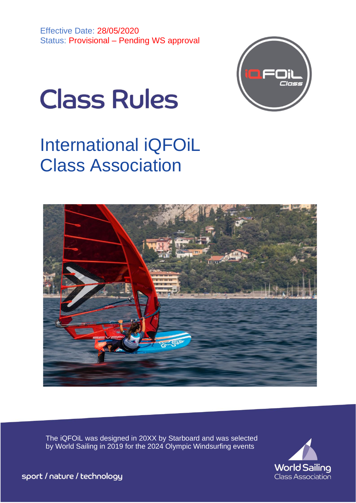

# **Class Rules**

# International iQFOiL Class Association



The iQFOiL was designed in 20XX by Starboard and was selected by World Sailing in 2019 for the 2024 Olympic Windsurfing events



sport / nature / technology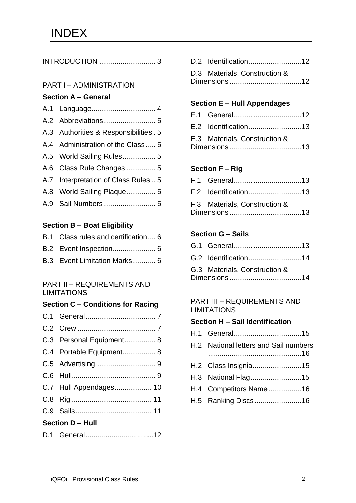|--|--|

#### PART I – ADMINISTRATION

#### **Section A – General**

| A.3 Authorities & Responsibilities . 5 |
|----------------------------------------|
| A.4 Administration of the Class  5     |
| A.5 World Sailing Rules 5              |
| A.6 Class Rule Changes  5              |
| A.7 Interpretation of Class Rules  5   |
| A.8 World Sailing Plaque 5             |
|                                        |

#### **Section B – Boat Eligibility**

| B.1 Class rules and certification 6 |
|-------------------------------------|
|                                     |
| B.3 Event Limitation Marks 6        |

#### PART II – REQUIREMENTS AND LIMITATIONS

#### **Section C – Conditions for Racing**

| C.3 Personal Equipment 8 |  |
|--------------------------|--|
| C.4 Portable Equipment 8 |  |
|                          |  |
|                          |  |
| C.7 Hull Appendages 10   |  |
|                          |  |
|                          |  |
| <b>Section D - Hull</b>  |  |
| D.1 General12            |  |

| D.3 Materials, Construction & |
|-------------------------------|
|                               |
|                               |

#### **Section E – Hull Appendages**

| E.2 Identification13          |  |
|-------------------------------|--|
| E.3 Materials, Construction & |  |
|                               |  |

#### **Section F – Rig**

| F.3 Materials, Construction & |  |
|-------------------------------|--|

#### **Section G – Sails**

| G.2 Identification14          |  |
|-------------------------------|--|
| G.3 Materials, Construction & |  |

#### PART III – REQUIREMENTS AND **LIMITATIONS**

#### **Section H – Sail Identification**

| H.2 National letters and Sail numbers |
|---------------------------------------|
| H.2 Class Insignia15                  |
| H.3 National Flag15                   |
| H.4 Competitors Name16                |
| H.5 Ranking Discs16                   |
|                                       |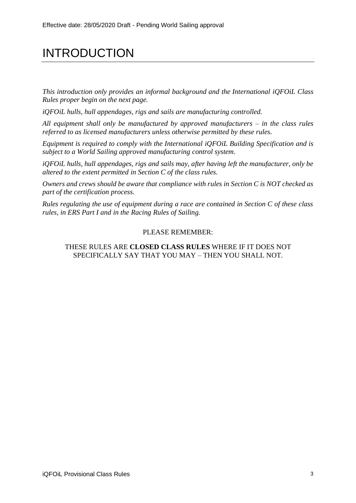# INTRODUCTION

*This introduction only provides an informal background and the International iQFOiL Class Rules proper begin on the next page.*

*iQFOiL hulls, hull appendages, rigs and sails are manufacturing controlled.*

*All equipment shall only be manufactured by approved manufacturers – in the class rules referred to as licensed manufacturers unless otherwise permitted by these rules.*

*Equipment is required to comply with the International iQFOiL Building Specification and is subject to a World Sailing approved manufacturing control system.* 

*iQFOiL hulls, hull appendages, rigs and sails may, after having left the manufacturer, only be altered to the extent permitted in Section C of the class rules.*

*Owners and crews should be aware that compliance with rules in Section C is NOT checked as part of the certification process.*

*Rules regulating the use of equipment during a race are contained in Section C of these class rules, in ERS Part I and in the Racing Rules of Sailing.*

#### PLEASE REMEMBER:

#### THESE RULES ARE **CLOSED CLASS RULES** WHERE IF IT DOES NOT SPECIFICALLY SAY THAT YOU MAY – THEN YOU SHALL NOT.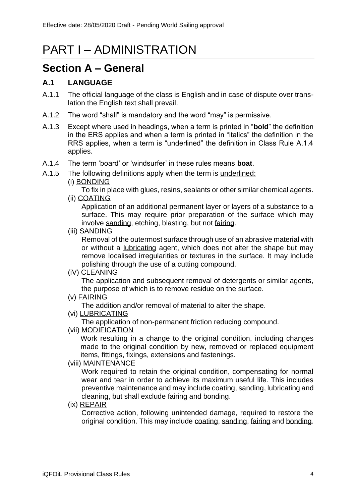# PART I – ADMINISTRATION

### **Section A – General**

#### **A.1 LANGUAGE**

- A.1.1 The official language of the class is English and in case of dispute over translation the English text shall prevail.
- A.1.2 The word "shall" is mandatory and the word "may" is permissive.
- A.1.3 Except where used in headings, when a term is printed in "**bold**" the definition in the ERS applies and when a term is printed in "italics" the definition in the RRS applies, when a term is "underlined" the definition in Class Rule A.1.4 applies.
- A.1.4 The term 'board' or 'windsurfer' in these rules means **boat**.
- A.1.5 The following definitions apply when the term is underlined:
	- (i) BONDING

To fix in place with glues, resins, sealants or other similar chemical agents. (ii) COATING

Application of an additional permanent layer or layers of a substance to a surface. This may require prior preparation of the surface which may involve sanding, etching, blasting, but not fairing.

(iii) SANDING

Removal of the outermost surface through use of an abrasive material with or without a lubricating agent, which does not alter the shape but may remove localised irregularities or textures in the surface. It may include polishing through the use of a cutting compound.

(iV) CLEANING

The application and subsequent removal of detergents or similar agents, the purpose of which is to remove residue on the surface.

(v) FAIRING

The addition and/or removal of material to alter the shape.

(vi) LUBRICATING

The application of non-permanent friction reducing compound.

(vii) MODIFICATION

Work resulting in a change to the original condition, including changes made to the original condition by new, removed or replaced equipment items, fittings, fixings, extensions and fastenings.

#### (viii) MAINTENANCE

Work required to retain the original condition, compensating for normal wear and tear in order to achieve its maximum useful life. This includes preventive maintenance and may include coating, sanding, lubricating and cleaning, but shall exclude fairing and bonding.

(ix) REPAIR

Corrective action, following unintended damage, required to restore the original condition. This may include coating, sanding, fairing and bonding.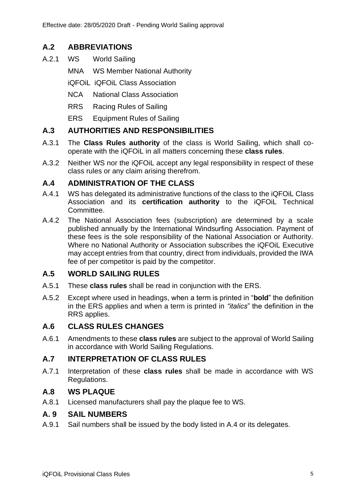#### **A.2 ABBREVIATIONS**

- A.2.1 WS World Sailing
	- MNA WS Member National Authority
	- iQFOiL iQFOiL Class Association
	- NCA National Class Association
	- RRS Racing Rules of Sailing
	- ERS Equipment Rules of Sailing

#### **A.3 AUTHORITIES AND RESPONSIBILITIES**

- A.3.1 The **Class Rules authority** of the class is World Sailing, which shall cooperate with the iQFOiL in all matters concerning these **class rules**.
- A.3.2 Neither WS nor the iQFOiL accept any legal responsibility in respect of these class rules or any claim arising therefrom.

#### **A.4 ADMINISTRATION OF THE CLASS**

- A.4.1 WS has delegated its administrative functions of the class to the iQFOiL Class Association and its **certification authority** to the iQFOiL Technical Committee.
- A.4.2 The National Association fees (subscription) are determined by a scale published annually by the International Windsurfing Association. Payment of these fees is the sole responsibility of the National Association or Authority. Where no National Authority or Association subscribes the iQFOiL Executive may accept entries from that country, direct from individuals, provided the IWA fee of per competitor is paid by the competitor.

#### **A.5 WORLD SAILING RULES**

- A.5.1 These **class rules** shall be read in conjunction with the ERS.
- A.5.2 Except where used in headings, when a term is printed in "**bold**" the definition in the ERS applies and when a term is printed in *"italics*" the definition in the RRS applies.

#### **A.6 CLASS RULES CHANGES**

A.6.1 Amendments to these **class rules** are subject to the approval of World Sailing in accordance with World Sailing Regulations.

#### **A.7 INTERPRETATION OF CLASS RULES**

A.7.1 Interpretation of these **class rules** shall be made in accordance with WS Regulations.

#### **A.8 WS PLAQUE**

A.8.1 Licensed manufacturers shall pay the plaque fee to WS.

#### **A. 9 SAIL NUMBERS**

A.9.1 Sail numbers shall be issued by the body listed in A.4 or its delegates.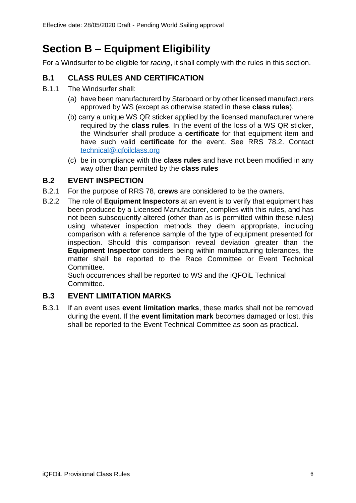# **Section B – Equipment Eligibility**

For a Windsurfer to be eligible for *racing*, it shall comply with the rules in this section.

#### **B.1 CLASS RULES AND CERTIFICATION**

- B.1.1 The Windsurfer shall:
	- (a) have been manufacturerd by Starboard or by other licensed manufacturers approved by WS (except as otherwise stated in these **class rules**).
	- (b) carry a unique WS QR sticker applied by the licensed manufacturer where required by the **class rules**. In the event of the loss of a WS QR sticker, the Windsurfer shall produce a **certificate** for that equipment item and have such valid **certificate** for the event. See RRS 78.2. Contact [technical@iqfoilclass.org](mailto:technical@iqfoilclass.com)
	- (c) be in compliance with the **class rules** and have not been modified in any way other than permited by the **class rules**

#### **B.2 EVENT INSPECTION**

- B.2.1 For the purpose of RRS 78, **crews** are considered to be the owners.
- B.2.2 The role of **Equipment Inspectors** at an event is to verify that equipment has been produced by a Licensed Manufacturer, complies with this rules, and has not been subsequently altered (other than as is permitted within these rules) using whatever inspection methods they deem appropriate, including comparison with a reference sample of the type of equipment presented for inspection. Should this comparison reveal deviation greater than the **Equipment Inspector** considers being within manufacturing tolerances, the matter shall be reported to the Race Committee or Event Technical Committee.

Such occurrences shall be reported to WS and the iQFOiL Technical Committee.

#### **B.3 EVENT LIMITATION MARKS**

B.3.1 If an event uses **event limitation marks**, these marks shall not be removed during the event. If the **event limitation mark** becomes damaged or lost, this shall be reported to the Event Technical Committee as soon as practical.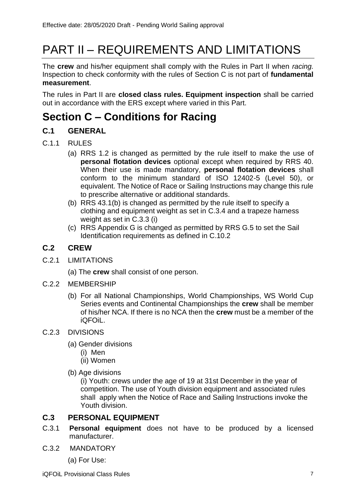# PART II – REQUIREMENTS AND LIMITATIONS

The **crew** and his/her equipment shall comply with the Rules in Part II when *racing.*  Inspection to check conformity with the rules of Section C is not part of **fundamental measurement**.

The rules in Part II are **closed class rules. Equipment inspection** shall be carried out in accordance with the ERS except where varied in this Part.

### **Section C – Conditions for Racing**

#### **C.1 GENERAL**

- C.1.1 RULES
	- (a) RRS 1.2 is changed as permitted by the rule itself to make the use of **personal flotation devices** optional except when required by RRS 40. When their use is made mandatory, **personal flotation devices** shall conform to the minimum standard of ISO 12402-5 (Level 50), or equivalent. The Notice of Race or Sailing Instructions may change this rule to prescribe alternative or additional standards.
	- (b) RRS 43.1(b) is changed as permitted by the rule itself to specify a clothing and equipment weight as set in C.3.4 and a trapeze harness weight as set in C.3.3 (i)
	- (c) RRS Appendix G is changed as permitted by RRS G.5 to set the Sail Identification requirements as defined in C.10.2

#### **C.2 CREW**

C.2.1 LIMITATIONS

(a) The **crew** shall consist of one person.

- C.2.2 MEMBERSHIP
	- (b) For all National Championships, World Championships, WS World Cup Series events and Continental Championships the **crew** shall be member of his/her NCA. If there is no NCA then the **crew** must be a member of the iQFOiL.

#### C.2.3 DIVISIONS

- (a) Gender divisions
	- (i) Men
	- (ii) Women
- (b) Age divisions

(i) Youth: crews under the age of 19 at 31st December in the year of competition. The use of Youth division equipment and associated rules shall apply when the Notice of Race and Sailing Instructions invoke the Youth division.

#### **C.3 PERSONAL EQUIPMENT**

- C.3.1 **Personal equipment** does not have to be produced by a licensed manufacturer.
- C.3.2 MANDATORY

(a) For Use: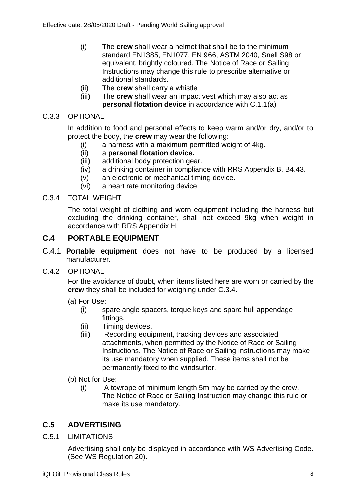- (i) The **crew** shall wear a helmet that shall be to the minimum standard EN1385, EN1077, EN 966, ASTM 2040, Snell S98 or equivalent, brightly coloured. The Notice of Race or Sailing Instructions may change this rule to prescribe alternative or additional standards.
- (ii) The **crew** shall carry a whistle
- (iii) The **crew** shall wear an impact vest which may also act as **personal flotation device** in accordance with C.1.1(a)

#### C.3.3 OPTIONAL

In addition to food and personal effects to keep warm and/or dry, and/or to protect the body, the **crew** may wear the following:

- (i) a harness with a maximum permitted weight of 4kg.
- (ii) a **personal flotation device.**
- (iii) additional body protection gear.
- (iv) a drinking container in compliance with RRS Appendix B, B4.43.
- (v) an electronic or mechanical timing device.
- (vi) a heart rate monitoring device

#### C.3.4 TOTAL WEIGHT

The total weight of clothing and worn equipment including the harness but excluding the drinking container, shall not exceed 9kg when weight in accordance with RRS Appendix H.

#### **C.4 PORTABLE EQUIPMENT**

- C.4.1 **Portable equipment** does not have to be produced by a licensed manufacturer.
- C.4.2 OPTIONAL

For the avoidance of doubt, when items listed here are worn or carried by the **crew** they shall be included for weighing under C.3.4.

- (a) For Use:
	- (i) spare angle spacers, torque keys and spare hull appendage fittings.
	- (ii) Timing devices.
	- (iii) Recording equipment, tracking devices and associated attachments, when permitted by the Notice of Race or Sailing Instructions. The Notice of Race or Sailing Instructions may make its use mandatory when supplied. These items shall not be permanently fixed to the windsurfer.
- (b) Not for Use:
	- (i) A towrope of minimum length 5m may be carried by the crew. The Notice of Race or Sailing Instruction may change this rule or make its use mandatory.

#### **C.5 ADVERTISING**

C.5.1 LIMITATIONS

Advertising shall only be displayed in accordance with WS Advertising Code. (See WS Regulation 20).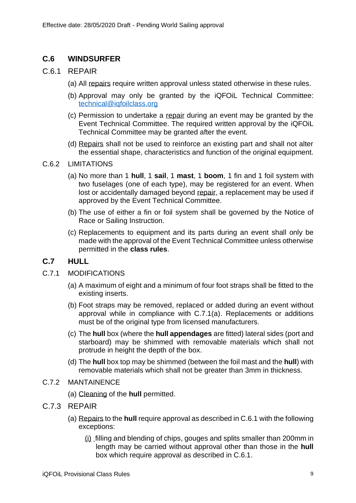#### **C.6 WINDSURFER**

#### C.6.1 REPAIR

- (a) All repairs require written approval unless stated otherwise in these rules.
- (b) Approval may only be granted by the iQFOiL Technical Committee: [technical@iqfoilclass.org](mailto:technical@iqfoilclass.org)
- (c) Permission to undertake a repair during an event may be granted by the Event Technical Committee. The required written approval by the iQFOiL Technical Committee may be granted after the event.
- (d) Repairs shall not be used to reinforce an existing part and shall not alter the essential shape, characteristics and function of the original equipment.

#### C.6.2 LIMITATIONS

- (a) No more than 1 **hull**, 1 **sail**, 1 **mast**, 1 **boom**, 1 fin and 1 foil system with two fuselages (one of each type), may be registered for an event. When lost or accidentally damaged beyond repair, a replacement may be used if approved by the Event Technical Committee.
- (b) The use of either a fin or foil system shall be governed by the Notice of Race or Sailing Instruction.
- (c) Replacements to equipment and its parts during an event shall only be made with the approval of the Event Technical Committee unless otherwise permitted in the **class rules**.

#### **C.7 HULL**

#### C.7.1 MODIFICATIONS

- (a) A maximum of eight and a minimum of four foot straps shall be fitted to the existing inserts.
- (b) Foot straps may be removed, replaced or added during an event without approval while in compliance with C.7.1(a). Replacements or additions must be of the original type from licensed manufacturers.
- (c) The **hull** box (where the **hull appendages** are fitted) lateral sides (port and starboard) may be shimmed with removable materials which shall not protrude in height the depth of the box.
- (d) The **hull** box top may be shimmed (between the foil mast and the **hull**) with removable materials which shall not be greater than 3mm in thickness.
- C.7.2 MANTAINENCE
	- (a) Cleaning of the **hull** permitted.
- C.7.3 REPAIR
	- (a) Repairs to the **hull** require approval as described in C.6.1 with the following exceptions:
		- (i) filling and blending of chips, gouges and splits smaller than 200mm in length may be carried without approval other than those in the **hull** box which require approval as described in C.6.1.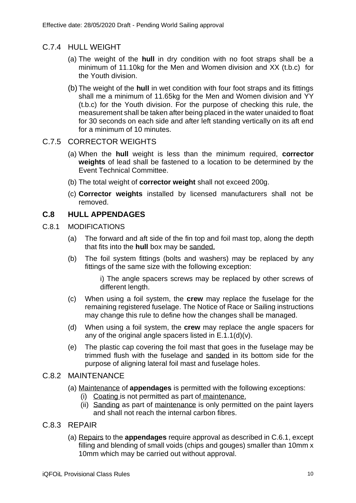#### C.7.4 HULL WEIGHT

- (a) The weight of the **hull** in dry condition with no foot straps shall be a minimum of 11.10kg for the Men and Women division and XX (t.b.c) for the Youth division.
- (b) The weight of the **hull** in wet condition with four foot straps and its fittings shall me a minimum of 11.65kg for the Men and Women division and YY (t.b.c) for the Youth division. For the purpose of checking this rule, the measurement shall be taken after being placed in the water unaided to float for 30 seconds on each side and after left standing vertically on its aft end for a minimum of 10 minutes.

#### C.7.5 CORRECTOR WEIGHTS

- (a) When the **hull** weight is less than the minimum required, **corrector weights** of lead shall be fastened to a location to be determined by the Event Technical Committee.
- (b) The total weight of **corrector weight** shall not exceed 200g.
- (c) **Corrector weights** installed by licensed manufacturers shall not be removed.

#### **C.8 HULL APPENDAGES**

- C.8.1 MODIFICATIONS
	- (a) The forward and aft side of the fin top and foil mast top, along the depth that fits into the **hull** box may be sanded.
	- (b) The foil system fittings (bolts and washers) may be replaced by any fittings of the same size with the following exception:

i) The angle spacers screws may be replaced by other screws of different length.

- (c) When using a foil system, the **crew** may replace the fuselage for the remaining registered fuselage. The Notice of Race or Sailing instructions may change this rule to define how the changes shall be managed.
- (d) When using a foil system, the **crew** may replace the angle spacers for any of the original angle spacers listed in E.1.1(d)(v).
- (e) The plastic cap covering the foil mast that goes in the fuselage may be trimmed flush with the fuselage and sanded in its bottom side for the purpose of aligning lateral foil mast and fuselage holes.

#### C.8.2 MAINTENANCE

- (a) Maintenance of **appendages** is permitted with the following exceptions:
	- (i) Coating is not permitted as part of maintenance.
	- (ii) Sanding as part of maintenance is only permitted on the paint layers and shall not reach the internal carbon fibres.

#### C.8.3 REPAIR

(a) Repairs to the **appendages** require approval as described in C.6.1, except filling and blending of small voids (chips and gouges) smaller than 10mm x 10mm which may be carried out without approval.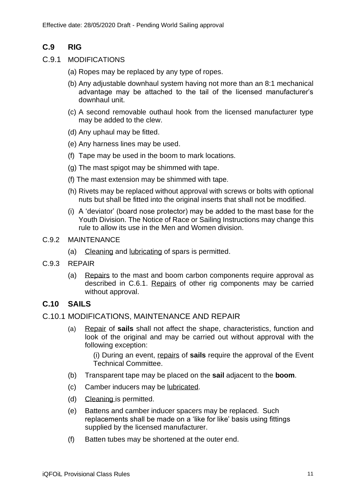#### **C.9 RIG**

- C.9.1 MODIFICATIONS
	- (a) Ropes may be replaced by any type of ropes.
	- (b) Any adjustable downhaul system having not more than an 8:1 mechanical advantage may be attached to the tail of the licensed manufacturer's downhaul unit.
	- (c) A second removable outhaul hook from the licensed manufacturer type may be added to the clew.
	- (d) Any uphaul may be fitted.
	- (e) Any harness lines may be used.
	- (f) Tape may be used in the boom to mark locations.
	- (g) The mast spigot may be shimmed with tape.
	- (f) The mast extension may be shimmed with tape.
	- (h) Rivets may be replaced without approval with screws or bolts with optional nuts but shall be fitted into the original inserts that shall not be modified.
	- (i) A 'deviator' (board nose protector) may be added to the mast base for the Youth Division. The Notice of Race or Sailing Instructions may change this rule to allow its use in the Men and Women division.
- C.9.2 MAINTENANCE
	- (a) Cleaning and lubricating of spars is permitted.
- C.9.3 REPAIR
	- (a) Repairs to the mast and boom carbon components require approval as described in C.6.1. Repairs of other rig components may be carried without approval.

#### **C.10 SAILS**

- C.10.1 MODIFICATIONS, MAINTENANCE AND REPAIR
	- (a) Repair of **sails** shall not affect the shape, characteristics, function and look of the original and may be carried out without approval with the following exception:

(i) During an event, repairs of **sails** require the approval of the Event Technical Committee.

- (b) Transparent tape may be placed on the **sail** adjacent to the **boom**.
- (c) Camber inducers may be lubricated.
- (d) Cleaning is permitted.
- (e) Battens and camber inducer spacers may be replaced. Such replacements shall be made on a 'like for like' basis using fittings supplied by the licensed manufacturer.
- (f) Batten tubes may be shortened at the outer end.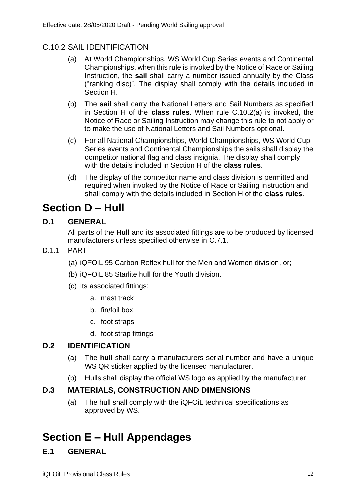#### C.10.2 SAIL IDENTIFICATION

- (a) At World Championships, WS World Cup Series events and Continental Championships, when this rule is invoked by the Notice of Race or Sailing Instruction, the **sail** shall carry a number issued annually by the Class ("ranking disc)". The display shall comply with the details included in Section H.
- (b) The **sail** shall carry the National Letters and Sail Numbers as specified in Section H of the **class rules**. When rule C.10.2(a) is invoked, the Notice of Race or Sailing Instruction may change this rule to not apply or to make the use of National Letters and Sail Numbers optional.
- (c) For all National Championships, World Championships, WS World Cup Series events and Continental Championships the sails shall display the competitor national flag and class insignia. The display shall comply with the details included in Section H of the **class rules**.
- (d) The display of the competitor name and class division is permitted and required when invoked by the Notice of Race or Sailing instruction and shall comply with the details included in Section H of the **class rules**.

### **Section D – Hull**

#### **D.1 GENERAL**

All parts of the **Hull** and its associated fittings are to be produced by licensed manufacturers unless specified otherwise in C.7.1.

- D.1.1 PART
	- (a) iQFOiL 95 Carbon Reflex hull for the Men and Women division, or;
	- (b) iQFOiL 85 Starlite hull for the Youth division.
	- (c) Its associated fittings:
		- a. mast track
		- b. fin/foil box
		- c. foot straps
		- d. foot strap fittings

#### **D.2 IDENTIFICATION**

- (a) The **hull** shall carry a manufacturers serial number and have a unique WS QR sticker applied by the licensed manufacturer.
- (b) Hulls shall display the official WS logo as applied by the manufacturer.

#### **D.3 MATERIALS, CONSTRUCTION AND DIMENSIONS**

(a) The hull shall comply with the iQFOiL technical specifications as approved by WS.

# **Section E – Hull Appendages**

#### **E.1 GENERAL**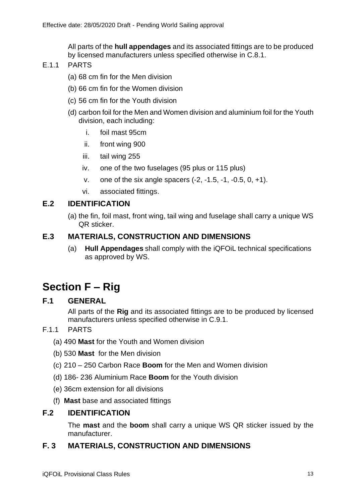All parts of the **hull appendages** and its associated fittings are to be produced by licensed manufacturers unless specified otherwise in C.8.1.

- F<sub>11</sub> PARTS
	- (a) 68 cm fin for the Men division
	- (b) 66 cm fin for the Women division
	- (c) 56 cm fin for the Youth division
	- (d) carbon foil for the Men and Women division and aluminium foil for the Youth division, each including:
		- i. foil mast 95cm
		- ii. front wing 900
		- iii. tail wing 255
		- iv. one of the two fuselages (95 plus or 115 plus)
		- v. one of the six angle spacers (-2, -1.5, -1, -0.5, 0, +1).
		- vi. associated fittings.

#### **E.2 IDENTIFICATION**

(a) the fin, foil mast, front wing, tail wing and fuselage shall carry a unique WS QR sticker.

#### **E.3 MATERIALS, CONSTRUCTION AND DIMENSIONS**

(a) **Hull Appendages** shall comply with the iQFOiL technical specifications as approved by WS.

### **Section F – Rig**

#### **F.1 GENERAL**

All parts of the **Rig** and its associated fittings are to be produced by licensed manufacturers unless specified otherwise in C.9.1.

#### F.1.1 PARTS

- (a) 490 **Mast** for the Youth and Women division
- (b) 530 **Mast** for the Men division
- (c) 210 250 Carbon Race **Boom** for the Men and Women division
- (d) 186- 236 Aluminium Race **Boom** for the Youth division
- (e) 36cm extension for all divisions
- (f) **Mast** base and associated fittings

#### **F.2 IDENTIFICATION**

The **mast** and the **boom** shall carry a unique WS QR sticker issued by the manufacturer.

#### **F. 3 MATERIALS, CONSTRUCTION AND DIMENSIONS**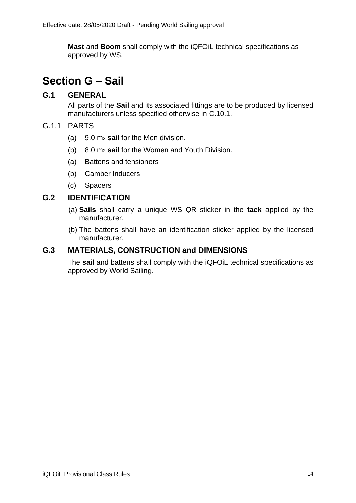**Mast** and **Boom** shall comply with the iQFOiL technical specifications as approved by WS.

### **Section G – Sail**

#### **G.1 GENERAL**

All parts of the **Sail** and its associated fittings are to be produced by licensed manufacturers unless specified otherwise in C.10.1.

#### G.1.1 PARTS

- (a) 9.0 m<sup>2</sup> **sail** for the Men division.
- (b) 8.0 m<sup>2</sup> **sail** for the Women and Youth Division.
- (a) Battens and tensioners
- (b) Camber Inducers
- (c) Spacers

#### **G.2 IDENTIFICATION**

- (a) **Sails** shall carry a unique WS QR sticker in the **tack** applied by the manufacturer.
- (b) The battens shall have an identification sticker applied by the licensed manufacturer.

#### **G.3 MATERIALS, CONSTRUCTION and DIMENSIONS**

The **sail** and battens shall comply with the iQFOiL technical specifications as approved by World Sailing.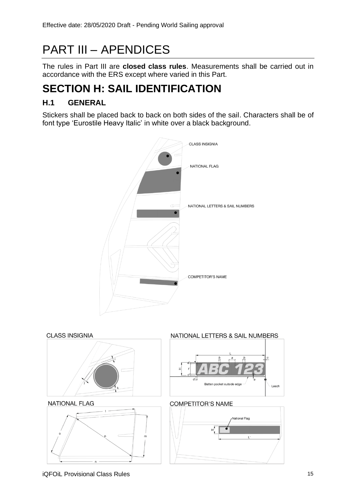# PART III – APENDICES

The rules in Part III are **closed class rules**. Measurements shall be carried out in accordance with the ERS except where varied in this Part.

# **SECTION H: SAIL IDENTIFICATION**

#### **H.1 GENERAL**

Stickers shall be placed back to back on both sides of the sail. Characters shall be of font type 'Eurostile Heavy Italic' in white over a black background.